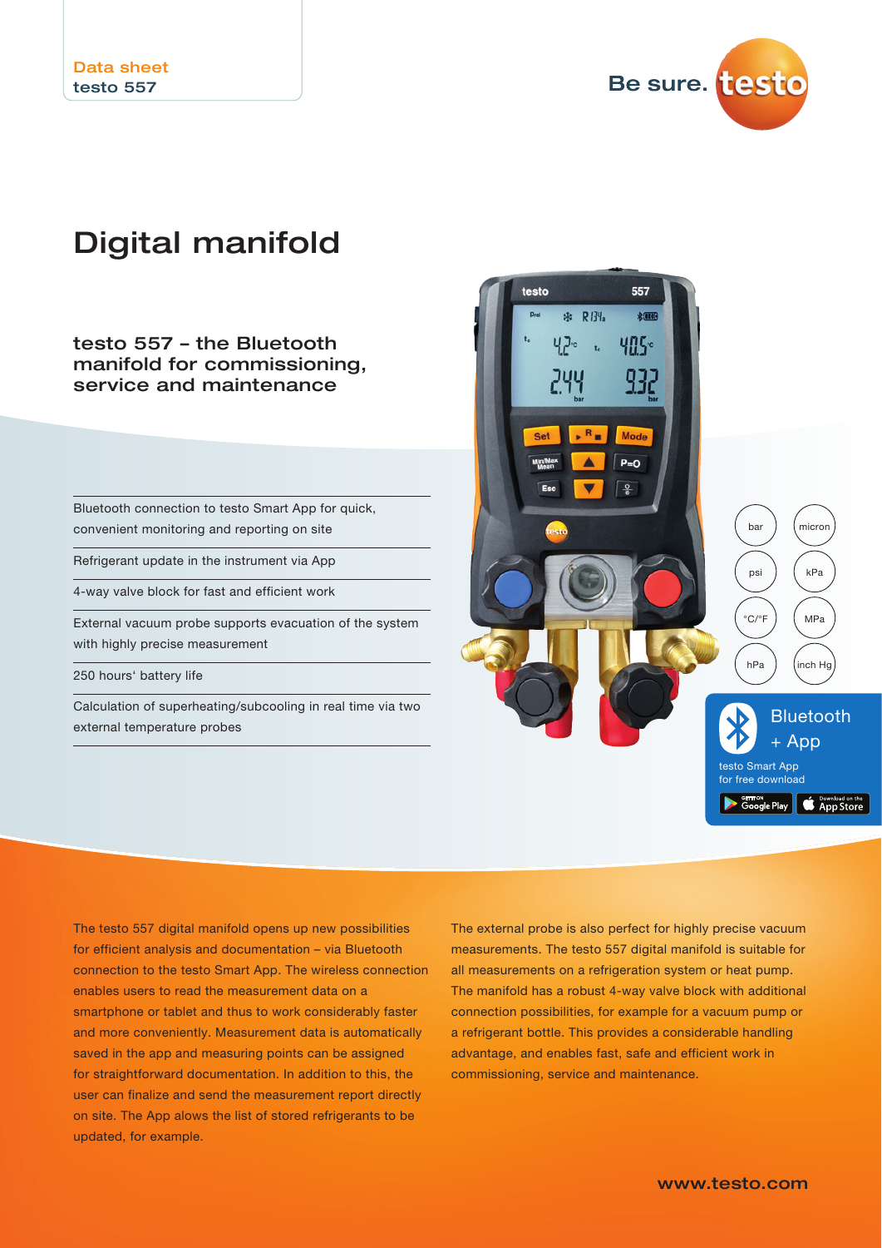Be sure. testo

# Digital manifold

testo 557 – the Bluetooth manifold for commissioning, service and maintenance

Bluetooth connection to testo Smart App for quick, convenient monitoring and reporting on site

Refrigerant update in the instrument via App

4-way valve block for fast and efficient work

External vacuum probe supports evacuation of the system with highly precise measurement

250 hours' battery life

Calculation of superheating/subcooling in real time via two external temperature probes



The testo 557 digital manifold opens up new possibilities for efficient analysis and documentation – via Bluetooth connection to the testo Smart App. The wireless connection enables users to read the measurement data on a smartphone or tablet and thus to work considerably faster and more conveniently. Measurement data is automatically saved in the app and measuring points can be assigned for straightforward documentation. In addition to this, the user can finalize and send the measurement report directly on site. The App alows the list of stored refrigerants to be updated, for example.

The external probe is also perfect for highly precise vacuum measurements. The testo 557 digital manifold is suitable for all measurements on a refrigeration system or heat pump. The manifold has a robust 4-way valve block with additional connection possibilities, for example for a vacuum pump or a refrigerant bottle. This provides a considerable handling advantage, and enables fast, safe and efficient work in commissioning, service and maintenance.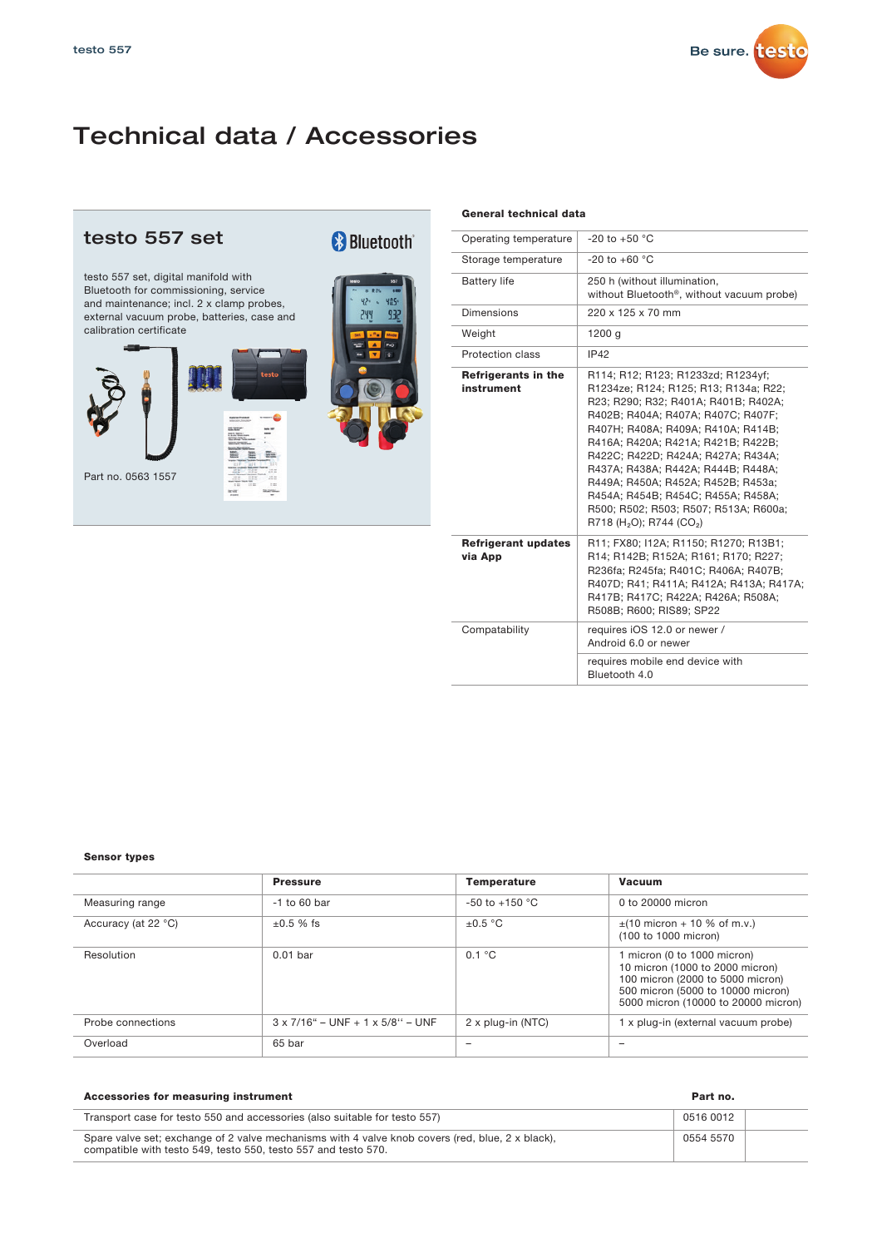## Technical data / Accessories



#### General technical data

| Operating temperature                    | $-20$ to $+50$ °C                                                                                                                                                                                                                                                                                                                                                                                                                                                                          |
|------------------------------------------|--------------------------------------------------------------------------------------------------------------------------------------------------------------------------------------------------------------------------------------------------------------------------------------------------------------------------------------------------------------------------------------------------------------------------------------------------------------------------------------------|
| Storage temperature                      | $-20$ to $+60$ °C                                                                                                                                                                                                                                                                                                                                                                                                                                                                          |
| <b>Battery life</b>                      | 250 h (without illumination,<br>without Bluetooth <sup>®</sup> , without vacuum probe)                                                                                                                                                                                                                                                                                                                                                                                                     |
| <b>Dimensions</b>                        | 220 x 125 x 70 mm                                                                                                                                                                                                                                                                                                                                                                                                                                                                          |
| Weight                                   | 1200 g                                                                                                                                                                                                                                                                                                                                                                                                                                                                                     |
| Protection class                         | IP42                                                                                                                                                                                                                                                                                                                                                                                                                                                                                       |
| <b>Refrigerants in the</b><br>instrument | R114; R12; R123; R1233zd; R1234yf;<br>R1234ze; R124; R125; R13; R134a; R22;<br>R23; R290; R32; R401A; R401B; R402A;<br>R402B; R404A; R407A; R407C; R407F;<br>R407H: R408A: R409A: R410A: R414B:<br>R416A: R420A: R421A: R421B: R422B:<br>R422C: R422D: R424A: R427A: R434A:<br>R437A: R438A: R442A: R444B: R448A:<br>R449A: R450A: R452A: R452B: R453a:<br>R454A: R454B: R454C: R455A: R458A:<br>R500; R502; R503; R507; R513A; R600a;<br>R718 (H <sub>2</sub> O); R744 (CO <sub>2</sub> ) |
| <b>Refrigerant updates</b><br>via App    | R11; FX80; I12A; R1150; R1270; R13B1;<br>R14; R142B; R152A; R161; R170; R227;<br>R236fa; R245fa; R401C; R406A; R407B;<br>R407D; R41; R411A; R412A; R413A; R417A;<br>R417B: R417C: R422A: R426A: R508A:<br>R508B; R600; RIS89; SP22                                                                                                                                                                                                                                                         |
| Compatability                            | requires iOS 12.0 or newer /<br>Android 6.0 or newer                                                                                                                                                                                                                                                                                                                                                                                                                                       |
|                                          | requires mobile end device with<br>Bluetooth 4.0                                                                                                                                                                                                                                                                                                                                                                                                                                           |

#### Sensor types

|                     | <b>Pressure</b>                             | <b>Temperature</b> | Vacuum                                                                                                                                                                         |
|---------------------|---------------------------------------------|--------------------|--------------------------------------------------------------------------------------------------------------------------------------------------------------------------------|
| Measuring range     | $-1$ to 60 bar                              | $-50$ to $+150$ °C | 0 to 20000 micron                                                                                                                                                              |
| Accuracy (at 22 °C) | $\pm 0.5$ % fs                              | $\pm 0.5$ °C       | $\pm$ (10 micron + 10 % of m.v.)<br>(100 to 1000 micron)                                                                                                                       |
| Resolution          | $0.01$ bar                                  | 0.1 °C             | 1 micron (0 to 1000 micron)<br>10 micron (1000 to 2000 micron)<br>100 micron (2000 to 5000 micron)<br>500 micron (5000 to 10000 micron)<br>5000 micron (10000 to 20000 micron) |
| Probe connections   | $3 \times 7/16$ " – UNF + 1 x $5/8$ " – UNF | 2 x plug-in (NTC)  | 1 x plug-in (external vacuum probe)                                                                                                                                            |
| Overload            | 65 bar                                      |                    |                                                                                                                                                                                |

| Accessories for measuring instrument                                                                                                                               | Part no.  |  |
|--------------------------------------------------------------------------------------------------------------------------------------------------------------------|-----------|--|
| Transport case for testo 550 and accessories (also suitable for testo 557)                                                                                         | 0516 0012 |  |
| Spare valve set; exchange of 2 valve mechanisms with 4 valve knob covers (red, blue, 2 x black),<br>compatible with testo 549, testo 550, testo 557 and testo 570. | 0554 5570 |  |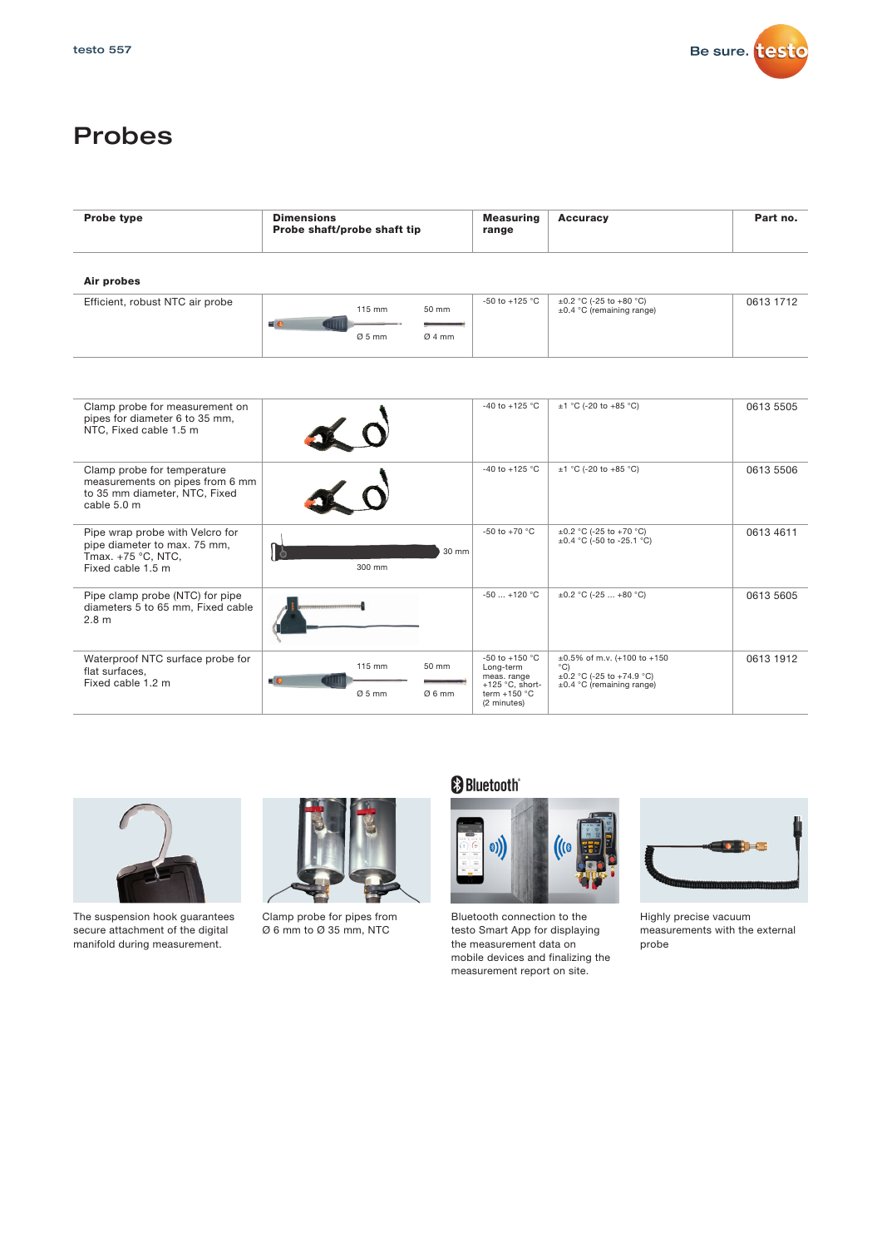

### Probes

| <b>Probe type</b>                                                                                              | <b>Dimensions</b><br>Probe shaft/probe shaft tip        | <b>Measuring</b><br>range                                                                                  | <b>Accuracy</b>                                                                              | Part no.  |
|----------------------------------------------------------------------------------------------------------------|---------------------------------------------------------|------------------------------------------------------------------------------------------------------------|----------------------------------------------------------------------------------------------|-----------|
| Air probes                                                                                                     |                                                         |                                                                                                            |                                                                                              |           |
| Efficient, robust NTC air probe                                                                                | 115 mm<br>50 mm<br>$\blacksquare$<br>$Ø5$ mm<br>Ø4mm    | -50 to +125 °C                                                                                             | ±0.2 °C (-25 to +80 °C)<br>±0.4 °C (remaining range)                                         | 0613 1712 |
|                                                                                                                |                                                         |                                                                                                            |                                                                                              |           |
| Clamp probe for measurement on<br>pipes for diameter 6 to 35 mm,<br>NTC, Fixed cable 1.5 m                     | $\frac{1}{10}$                                          | -40 to +125 °C                                                                                             | $±1 °C (-20 to +85 °C)$                                                                      | 0613 5505 |
| Clamp probe for temperature<br>measurements on pipes from 6 mm<br>to 35 mm diameter, NTC, Fixed<br>cable 5.0 m |                                                         | -40 to +125 °C                                                                                             | $±1$ °C (-20 to +85 °C)                                                                      | 0613 5506 |
| Pipe wrap probe with Velcro for<br>pipe diameter to max. 75 mm,<br>Tmax. +75 °C, NTC,<br>Fixed cable 1.5 m     | 30 mm<br>300 mm                                         | $-50$ to $+70$ °C                                                                                          | $\pm 0.2$ °C (-25 to +70 °C)<br>$\pm 0.4$ °C (-50 to -25.1 °C)                               | 0613 4611 |
| Pipe clamp probe (NTC) for pipe<br>diameters 5 to 65 mm, Fixed cable<br>2.8 <sub>m</sub>                       |                                                         | $-50+120$ °C                                                                                               | $\pm 0.2$ °C (-25  +80 °C)                                                                   | 0613 5605 |
| Waterproof NTC surface probe for<br>flat surfaces.<br>Fixed cable 1.2 m                                        | 115 mm<br>50 mm<br>$\blacksquare$<br>$Ø5$ mm<br>$06$ mm | -50 to +150 $^{\circ}$ C<br>Long-term<br>meas. range<br>$+125$ °C, short-<br>term $+150$ °C<br>(2 minutes) | ±0.5% of m.v. (+100 to +150<br>°C)<br>±0.2 °C (-25 to +74.9 °C)<br>±0.4 °C (remaining range) | 0613 1912 |



The suspension hook guarantees secure attachment of the digital manifold during measurement.

Clamp probe for pipes from Ø 6 mm to Ø 35 mm, NTC

### **Bluetooth**



Bluetooth connection to the testo Smart App for displaying the measurement data on mobile devices and finalizing the measurement report on site.



Highly precise vacuum measurements with the external probe